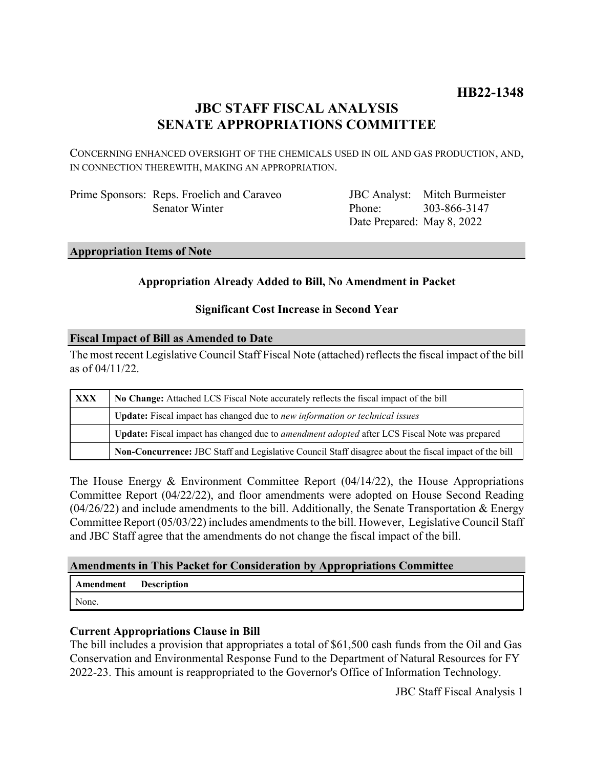## **JBC STAFF FISCAL ANALYSIS SENATE APPROPRIATIONS COMMITTEE**

CONCERNING ENHANCED OVERSIGHT OF THE CHEMICALS USED IN OIL AND GAS PRODUCTION, AND, IN CONNECTION THEREWITH, MAKING AN APPROPRIATION.

Prime Sponsors: Reps. Froelich and Caraveo Senator Winter

JBC Analyst: Mitch Burmeister Phone: Date Prepared: May 8, 2022 303-866-3147

#### **Appropriation Items of Note**

#### **Appropriation Already Added to Bill, No Amendment in Packet**

#### **Significant Cost Increase in Second Year**

#### **Fiscal Impact of Bill as Amended to Date**

The most recent Legislative Council Staff Fiscal Note (attached) reflects the fiscal impact of the bill as of 04/11/22.

| XXX | No Change: Attached LCS Fiscal Note accurately reflects the fiscal impact of the bill                 |
|-----|-------------------------------------------------------------------------------------------------------|
|     | Update: Fiscal impact has changed due to new information or technical issues                          |
|     | Update: Fiscal impact has changed due to <i>amendment adopted</i> after LCS Fiscal Note was prepared  |
|     | Non-Concurrence: JBC Staff and Legislative Council Staff disagree about the fiscal impact of the bill |

The House Energy & Environment Committee Report (04/14/22), the House Appropriations Committee Report (04/22/22), and floor amendments were adopted on House Second Reading  $(04/26/22)$  and include amendments to the bill. Additionally, the Senate Transportation & Energy Committee Report (05/03/22) includes amendments to the bill. However, Legislative Council Staff and JBC Staff agree that the amendments do not change the fiscal impact of the bill.

#### **Amendments in This Packet for Consideration by Appropriations Committee**

| <b>Amendment</b> Description |  |
|------------------------------|--|
| None.                        |  |

### **Current Appropriations Clause in Bill**

The bill includes a provision that appropriates a total of \$61,500 cash funds from the Oil and Gas Conservation and Environmental Response Fund to the Department of Natural Resources for FY 2022-23. This amount is reappropriated to the Governor's Office of Information Technology.